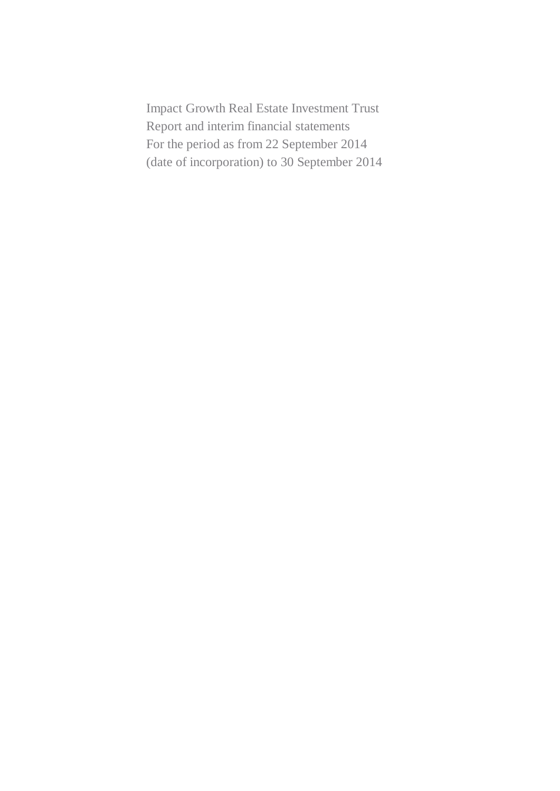Impact Growth Real Estate Investment Trust Report and interim financial statements For the period as from 22 September 2014 (date of incorporation) to 30 September 2014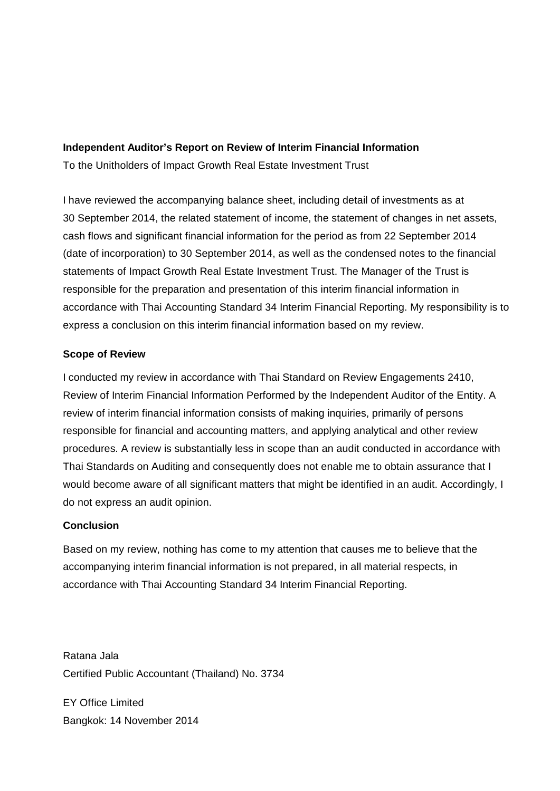# **Independent Auditor's Report on Review of Interim Financial Information** To the Unitholders of Impact Growth Real Estate Investment Trust

I have reviewed the accompanying balance sheet, including detail of investments as at 30 September 2014, the related statement of income, the statement of changes in net assets, cash flows and significant financial information for the period as from 22 September 2014 (date of incorporation) to 30 September 2014, as well as the condensed notes to the financial statements of Impact Growth Real Estate Investment Trust. The Manager of the Trust is responsible for the preparation and presentation of this interim financial information in accordance with Thai Accounting Standard 34 Interim Financial Reporting. My responsibility is to express a conclusion on this interim financial information based on my review.

# **Scope of Review**

I conducted my review in accordance with Thai Standard on Review Engagements 2410, Review of Interim Financial Information Performed by the Independent Auditor of the Entity. A review of interim financial information consists of making inquiries, primarily of persons responsible for financial and accounting matters, and applying analytical and other review procedures. A review is substantially less in scope than an audit conducted in accordance with Thai Standards on Auditing and consequently does not enable me to obtain assurance that I would become aware of all significant matters that might be identified in an audit. Accordingly, I do not express an audit opinion.

# **Conclusion**

Based on my review, nothing has come to my attention that causes me to believe that the accompanying interim financial information is not prepared, in all material respects, in accordance with Thai Accounting Standard 34 Interim Financial Reporting.

Ratana Jala Certified Public Accountant (Thailand) No. 3734

EY Office Limited Bangkok: 14 November 2014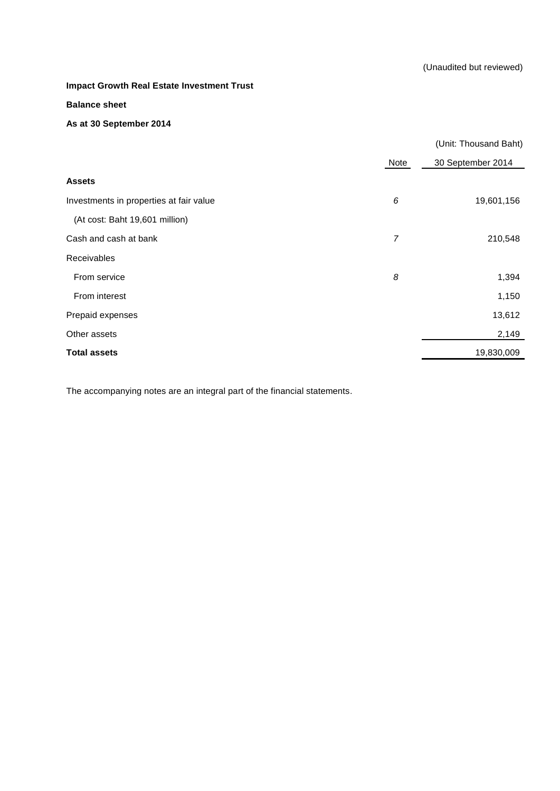#### **Balance sheet**

### **As at 30 September 2014**

|                                         |                | (Unit: Thousand Baht) |
|-----------------------------------------|----------------|-----------------------|
|                                         | Note           | 30 September 2014     |
| <b>Assets</b>                           |                |                       |
| Investments in properties at fair value | 6              | 19,601,156            |
| (At cost: Baht 19,601 million)          |                |                       |
| Cash and cash at bank                   | $\overline{7}$ | 210,548               |
| Receivables                             |                |                       |
| From service                            | 8              | 1,394                 |
| From interest                           |                | 1,150                 |
| Prepaid expenses                        |                | 13,612                |
| Other assets                            |                | 2,149                 |
| <b>Total assets</b>                     |                | 19,830,009            |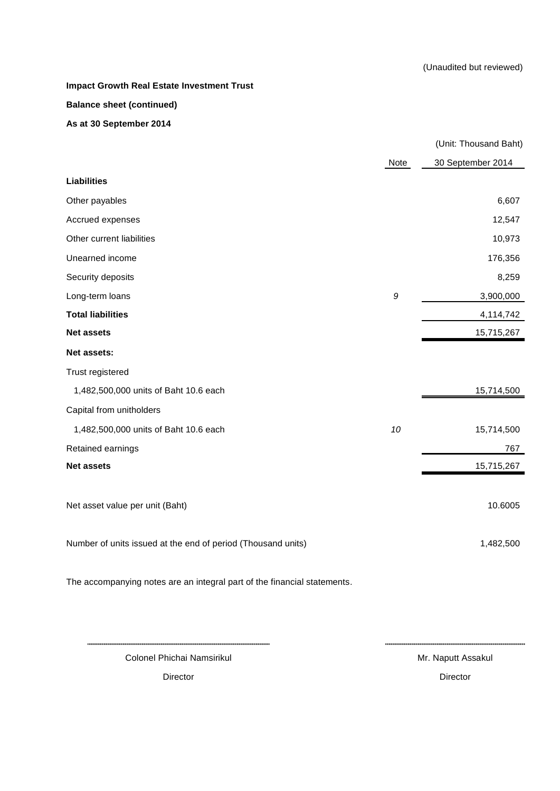**Impact Growth Real Estate Investment Trust Balance sheet (continued)**

**As at 30 September 2014**

|                                                              |      | (Unit: Thousand Baht) |
|--------------------------------------------------------------|------|-----------------------|
|                                                              | Note | 30 September 2014     |
| <b>Liabilities</b>                                           |      |                       |
| Other payables                                               |      | 6,607                 |
| Accrued expenses                                             |      | 12,547                |
| Other current liabilities                                    |      | 10,973                |
| Unearned income                                              |      | 176,356               |
| Security deposits                                            |      | 8,259                 |
| Long-term loans                                              | 9    | 3,900,000             |
| <b>Total liabilities</b>                                     |      | 4,114,742             |
| <b>Net assets</b>                                            |      | 15,715,267            |
| Net assets:                                                  |      |                       |
| Trust registered                                             |      |                       |
| 1,482,500,000 units of Baht 10.6 each                        |      | 15,714,500            |
| Capital from unitholders                                     |      |                       |
| 1,482,500,000 units of Baht 10.6 each                        | 10   | 15,714,500            |
| Retained earnings                                            |      | 767                   |
| <b>Net assets</b>                                            |      | 15,715,267            |
|                                                              |      |                       |
| Net asset value per unit (Baht)                              |      | 10.6005               |
|                                                              |      |                       |
| Number of units issued at the end of period (Thousand units) |      | 1,482,500             |
|                                                              |      |                       |

The accompanying notes are an integral part of the financial statements.

Colonel Phichai Namsirikul Mr. Naputt Assakul

Director **Director** Director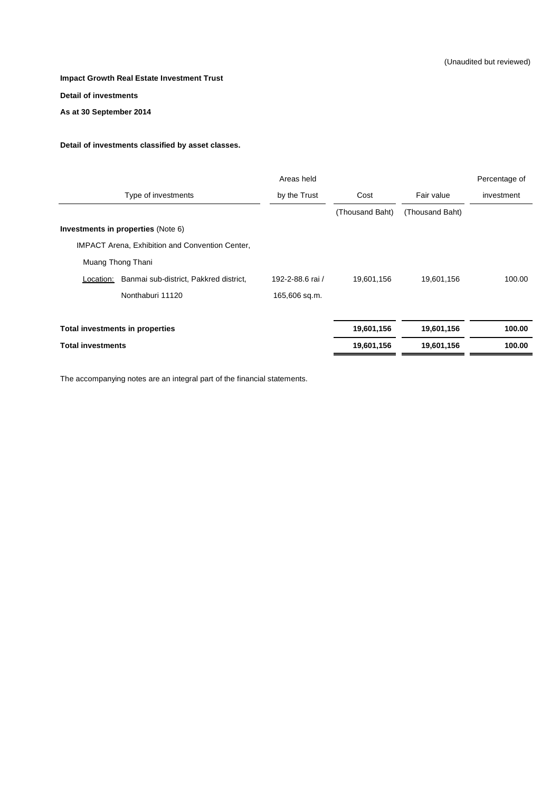#### **Detail of investments**

**As at 30 September 2014**

#### **Detail of investments classified by asset classes.**

|                                                        | Areas held       |                 |                 | Percentage of |
|--------------------------------------------------------|------------------|-----------------|-----------------|---------------|
| Type of investments                                    | by the Trust     | Cost            | Fair value      | investment    |
|                                                        |                  | (Thousand Baht) | (Thousand Baht) |               |
| Investments in properties (Note 6)                     |                  |                 |                 |               |
| <b>IMPACT Arena, Exhibition and Convention Center,</b> |                  |                 |                 |               |
| Muang Thong Thani                                      |                  |                 |                 |               |
| Banmai sub-district, Pakkred district,<br>Location:    | 192-2-88.6 rai / | 19,601,156      | 19,601,156      | 100.00        |
| Nonthaburi 11120                                       | 165,606 sq.m.    |                 |                 |               |
| Total investments in properties                        |                  | 19,601,156      | 19,601,156      | 100.00        |
| <b>Total investments</b>                               |                  | 19,601,156      | 19,601,156      | 100.00        |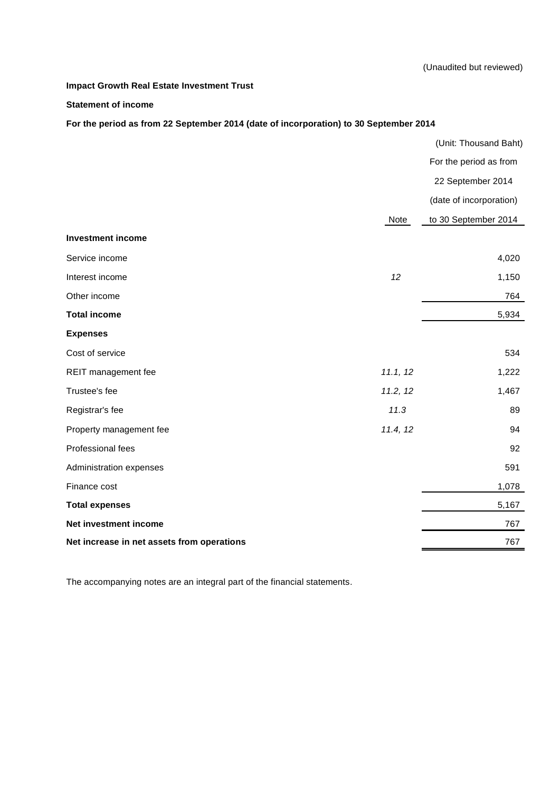#### **Statement of income**

# **For the period as from 22 September 2014 (date of incorporation) to 30 September 2014**

|                                            |          | (Unit: Thousand Baht)   |
|--------------------------------------------|----------|-------------------------|
|                                            |          | For the period as from  |
|                                            |          | 22 September 2014       |
|                                            |          | (date of incorporation) |
|                                            | Note     | to 30 September 2014    |
| <b>Investment income</b>                   |          |                         |
| Service income                             |          | 4,020                   |
| Interest income                            | 12       | 1,150                   |
| Other income                               |          | 764                     |
| <b>Total income</b>                        |          | 5,934                   |
| <b>Expenses</b>                            |          |                         |
| Cost of service                            |          | 534                     |
| REIT management fee                        | 11.1, 12 | 1,222                   |
| Trustee's fee                              | 11.2, 12 | 1,467                   |
| Registrar's fee                            | 11.3     | 89                      |
| Property management fee                    | 11.4, 12 | 94                      |
| Professional fees                          |          | 92                      |
| Administration expenses                    |          | 591                     |
| Finance cost                               |          | 1,078                   |
| <b>Total expenses</b>                      |          | 5,167                   |
| Net investment income                      |          | 767                     |
| Net increase in net assets from operations |          | 767                     |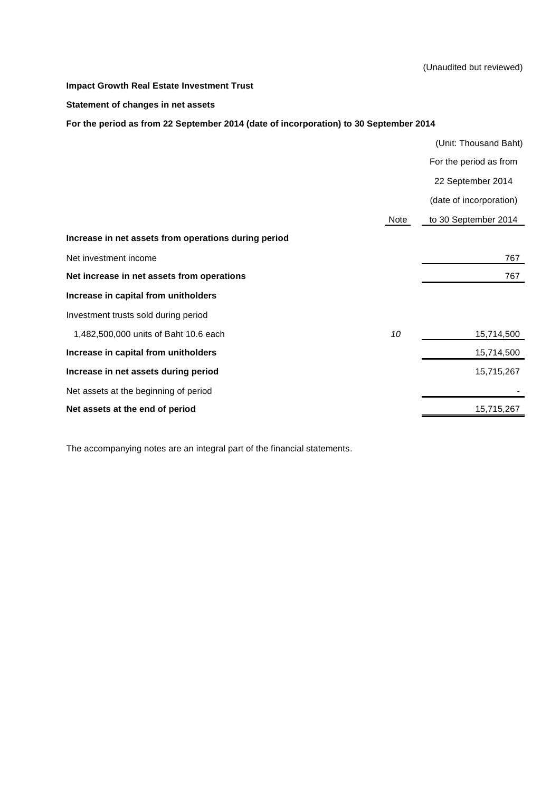(Unaudited but reviewed)

#### **Impact Growth Real Estate Investment Trust**

#### **Statement of changes in net assets**

**For the period as from 22 September 2014 (date of incorporation) to 30 September 2014**

|                                                      |      | (Unit: Thousand Baht)   |
|------------------------------------------------------|------|-------------------------|
|                                                      |      | For the period as from  |
|                                                      |      | 22 September 2014       |
|                                                      |      | (date of incorporation) |
|                                                      | Note | to 30 September 2014    |
| Increase in net assets from operations during period |      |                         |
| Net investment income                                |      | 767                     |
| Net increase in net assets from operations           |      | 767                     |
| Increase in capital from unitholders                 |      |                         |
| Investment trusts sold during period                 |      |                         |
| 1,482,500,000 units of Baht 10.6 each                | 10   | 15,714,500              |
| Increase in capital from unitholders                 |      | 15,714,500              |
| Increase in net assets during period                 |      | 15,715,267              |
| Net assets at the beginning of period                |      |                         |
| Net assets at the end of period                      |      | 15,715,267              |
|                                                      |      |                         |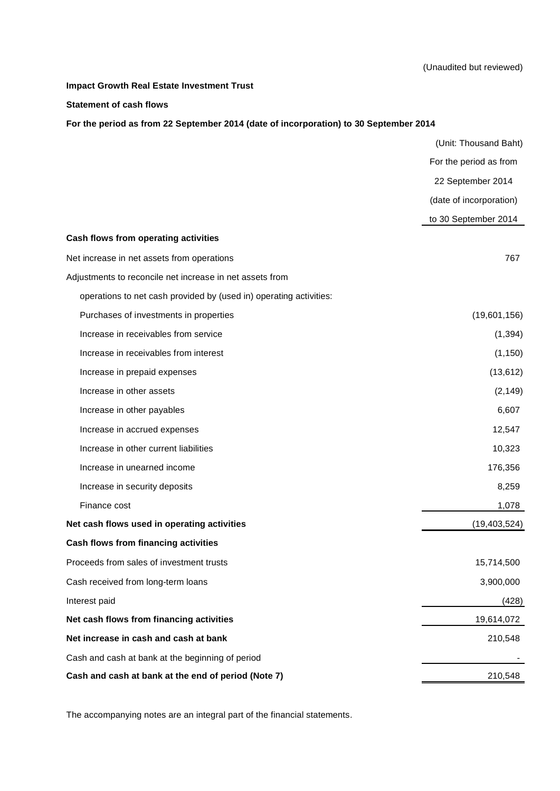#### **Statement of cash flows**

**For the period as from 22 September 2014 (date of incorporation) to 30 September 2014**

|                                                                    | (Unit: Thousand Baht)   |
|--------------------------------------------------------------------|-------------------------|
|                                                                    | For the period as from  |
|                                                                    | 22 September 2014       |
|                                                                    | (date of incorporation) |
|                                                                    | to 30 September 2014    |
| Cash flows from operating activities                               |                         |
| Net increase in net assets from operations                         | 767                     |
| Adjustments to reconcile net increase in net assets from           |                         |
| operations to net cash provided by (used in) operating activities: |                         |
| Purchases of investments in properties                             | (19,601,156)            |
| Increase in receivables from service                               | (1, 394)                |
| Increase in receivables from interest                              | (1, 150)                |
| Increase in prepaid expenses                                       | (13, 612)               |
| Increase in other assets                                           | (2, 149)                |
| Increase in other payables                                         | 6,607                   |
| Increase in accrued expenses                                       | 12,547                  |
| Increase in other current liabilities                              | 10,323                  |
| Increase in unearned income                                        | 176,356                 |
| Increase in security deposits                                      | 8,259                   |
| Finance cost                                                       | 1,078                   |
| Net cash flows used in operating activities                        | (19, 403, 524)          |
| Cash flows from financing activities                               |                         |
| Proceeds from sales of investment trusts                           | 15,714,500              |
| Cash received from long-term loans                                 | 3,900,000               |
| Interest paid                                                      | (428)                   |
| Net cash flows from financing activities                           | 19,614,072              |
| Net increase in cash and cash at bank                              | 210,548                 |
| Cash and cash at bank at the beginning of period                   |                         |
| Cash and cash at bank at the end of period (Note 7)                | 210,548                 |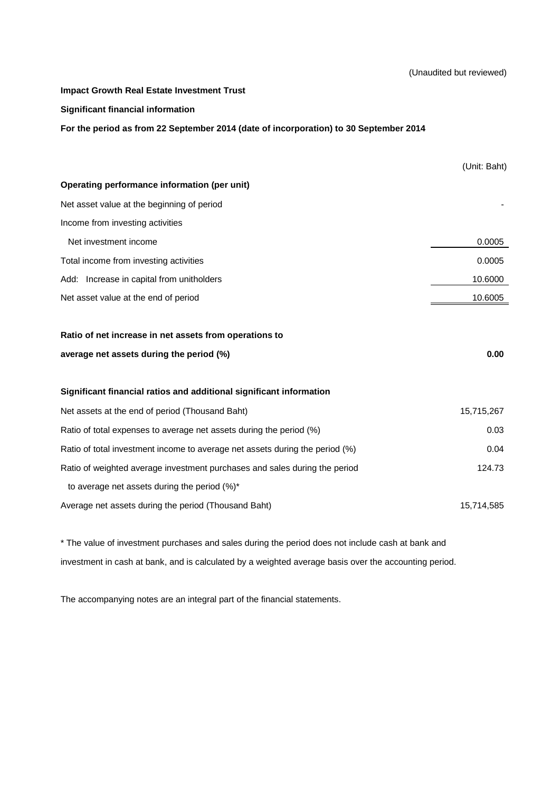#### (Unaudited but reviewed)

#### **Impact Growth Real Estate Investment Trust**

#### **Significant financial information**

**For the period as from 22 September 2014 (date of incorporation) to 30 September 2014**

|                                                                              | (Unit: Baht) |
|------------------------------------------------------------------------------|--------------|
| Operating performance information (per unit)                                 |              |
| Net asset value at the beginning of period                                   |              |
| Income from investing activities                                             |              |
| Net investment income                                                        | 0.0005       |
| Total income from investing activities                                       | 0.0005       |
| Add: Increase in capital from unitholders                                    | 10.6000      |
| Net asset value at the end of period                                         | 10.6005      |
|                                                                              |              |
| Ratio of net increase in net assets from operations to                       |              |
| average net assets during the period (%)                                     | 0.00         |
|                                                                              |              |
| Significant financial ratios and additional significant information          |              |
|                                                                              |              |
| Net assets at the end of period (Thousand Baht)                              | 15,715,267   |
| Ratio of total expenses to average net assets during the period (%)          | 0.03         |
| Ratio of total investment income to average net assets during the period (%) | 0.04         |
| Ratio of weighted average investment purchases and sales during the period   | 124.73       |
| to average net assets during the period $(\%)^*$                             |              |

\* The value of investment purchases and sales during the period does not include cash at bank and investment in cash at bank, and is calculated by a weighted average basis over the accounting period.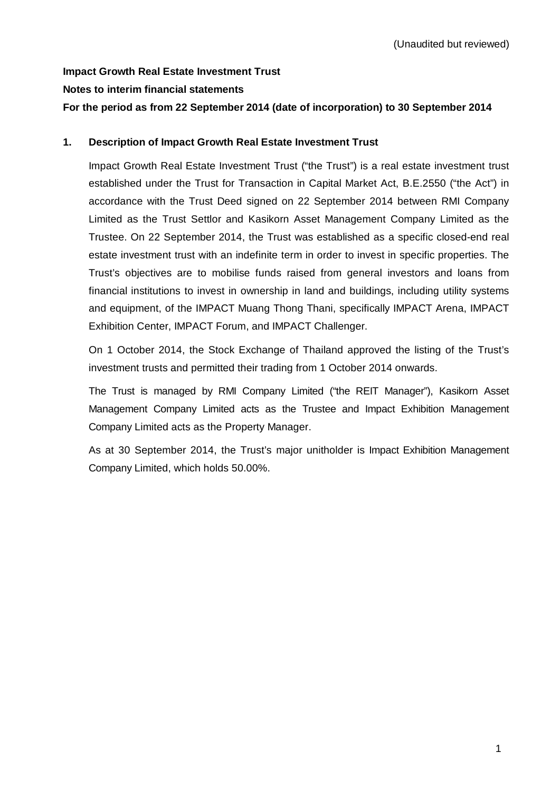# **Impact Growth Real Estate Investment Trust Notes to interim financial statements**

# **For the period as from 22 September 2014 (date of incorporation) to 30 September 2014**

# **1. Description of Impact Growth Real Estate Investment Trust**

Impact Growth Real Estate Investment Trust ("the Trust") is a real estate investment trust established under the Trust for Transaction in Capital Market Act, B.E.2550 ("the Act") in accordance with the Trust Deed signed on 22 September 2014 between RMI Company Limited as the Trust Settlor and Kasikorn Asset Management Company Limited as the Trustee. On 22 September 2014, the Trust was established as a specific closed-end real estate investment trust with an indefinite term in order to invest in specific properties. The Trust's objectives are to mobilise funds raised from general investors and loans from financial institutions to invest in ownership in land and buildings, including utility systems and equipment, of the IMPACT Muang Thong Thani, specifically IMPACT Arena, IMPACT Exhibition Center, IMPACT Forum, and IMPACT Challenger.

On 1 October 2014, the Stock Exchange of Thailand approved the listing of the Trust's investment trusts and permitted their trading from 1 October 2014 onwards.

The Trust is managed by RMI Company Limited ("the REIT Manager"), Kasikorn Asset Management Company Limited acts as the Trustee and Impact Exhibition Management Company Limited acts as the Property Manager.

As at 30 September 2014, the Trust's major unitholder is Impact Exhibition Management Company Limited, which holds 50.00%.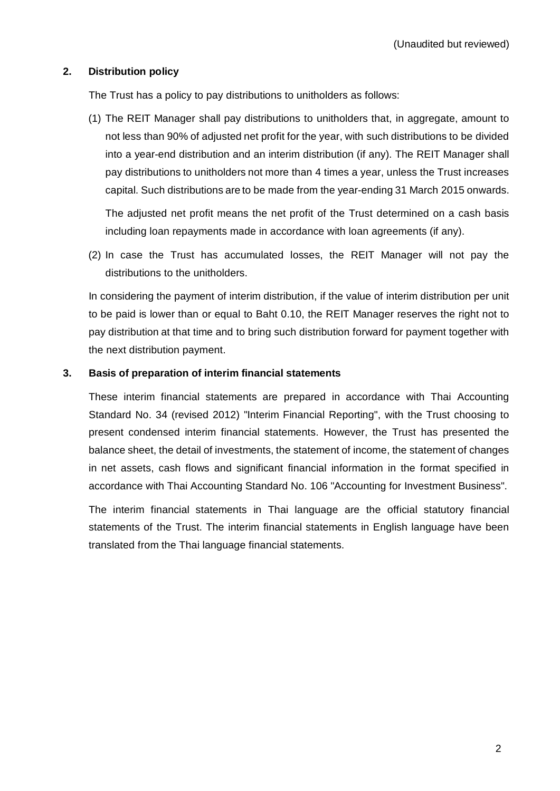## **2. Distribution policy**

The Trust has a policy to pay distributions to unitholders as follows:

(1) The REIT Manager shall pay distributions to unitholders that, in aggregate, amount to not less than 90% of adjusted net profit for the year, with such distributions to be divided into a year-end distribution and an interim distribution (if any). The REIT Manager shall pay distributions to unitholders not more than 4 times a year, unless the Trust increases capital. Such distributions are to be made from the year-ending 31 March 2015 onwards.

The adjusted net profit means the net profit of the Trust determined on a cash basis including loan repayments made in accordance with loan agreements (if any).

(2) In case the Trust has accumulated losses, the REIT Manager will not pay the distributions to the unitholders.

In considering the payment of interim distribution, if the value of interim distribution per unit to be paid is lower than or equal to Baht 0.10, the REIT Manager reserves the right not to pay distribution at that time and to bring such distribution forward for payment together with the next distribution payment.

# **3. Basis of preparation of interim financial statements**

These interim financial statements are prepared in accordance with Thai Accounting Standard No. 34 (revised 2012) "Interim Financial Reporting", with the Trust choosing to present condensed interim financial statements. However, the Trust has presented the balance sheet, the detail of investments, the statement of income, the statement of changes in net assets, cash flows and significant financial information in the format specified in accordance with Thai Accounting Standard No. 106 "Accounting for Investment Business".

The interim financial statements in Thai language are the official statutory financial statements of the Trust. The interim financial statements in English language have been translated from the Thai language financial statements.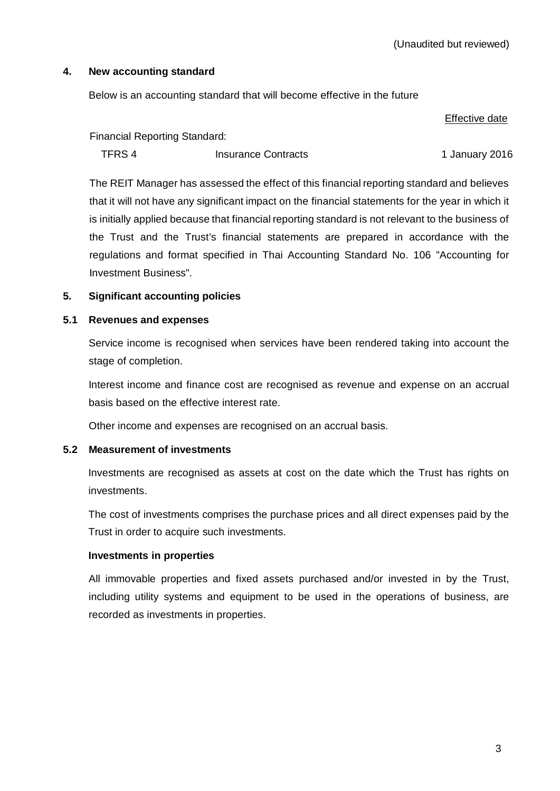## **4. New accounting standard**

Below is an accounting standard that will become effective in the future

#### Effective date

Financial Reporting Standard:

TFRS 4 Insurance Contracts 1 January 2016

The REIT Manager has assessed the effect of this financial reporting standard and believes that it will not have any significant impact on the financial statements for the year in which it is initially applied because that financial reporting standard is not relevant to the business of the Trust and the Trust's financial statements are prepared in accordance with the regulations and format specified in Thai Accounting Standard No. 106 "Accounting for Investment Business".

# **5. Significant accounting policies**

## **5.1 Revenues and expenses**

Service income is recognised when services have been rendered taking into account the stage of completion.

Interest income and finance cost are recognised as revenue and expense on an accrual basis based on the effective interest rate.

Other income and expenses are recognised on an accrual basis.

# **5.2 Measurement of investments**

Investments are recognised as assets at cost on the date which the Trust has rights on investments.

The cost of investments comprises the purchase prices and all direct expenses paid by the Trust in order to acquire such investments.

# **Investments in properties**

 All immovable properties and fixed assets purchased and/or invested in by the Trust, including utility systems and equipment to be used in the operations of business, are recorded as investments in properties.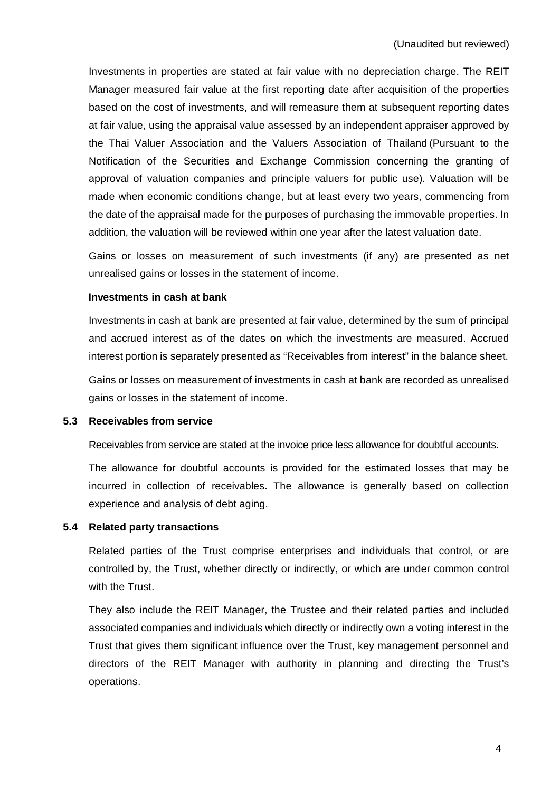Investments in properties are stated at fair value with no depreciation charge. The REIT Manager measured fair value at the first reporting date after acquisition of the properties based on the cost of investments, and will remeasure them at subsequent reporting dates at fair value, using the appraisal value assessed by an independent appraiser approved by the Thai Valuer Association and the Valuers Association of Thailand (Pursuant to the Notification of the Securities and Exchange Commission concerning the granting of approval of valuation companies and principle valuers for public use). Valuation will be made when economic conditions change, but at least every two years, commencing from the date of the appraisal made for the purposes of purchasing the immovable properties. In addition, the valuation will be reviewed within one year after the latest valuation date.

 Gains or losses on measurement of such investments (if any) are presented as net unrealised gains or losses in the statement of income.

### **Investments in cash at bank**

 Investments in cash at bank are presented at fair value, determined by the sum of principal and accrued interest as of the dates on which the investments are measured. Accrued interest portion is separately presented as "Receivables from interest" in the balance sheet.

 Gains or losses on measurement of investments in cash at bank are recorded as unrealised gains or losses in the statement of income.

#### **5.3 Receivables from service**

Receivables from service are stated at the invoice price less allowance for doubtful accounts.

 The allowance for doubtful accounts is provided for the estimated losses that may be incurred in collection of receivables. The allowance is generally based on collection experience and analysis of debt aging.

## **5.4 Related party transactions**

 Related parties of the Trust comprise enterprises and individuals that control, or are controlled by, the Trust, whether directly or indirectly, or which are under common control with the Trust.

 They also include the REIT Manager, the Trustee and their related parties and included associated companies and individuals which directly or indirectly own a voting interest in the Trust that gives them significant influence over the Trust, key management personnel and directors of the REIT Manager with authority in planning and directing the Trust's operations.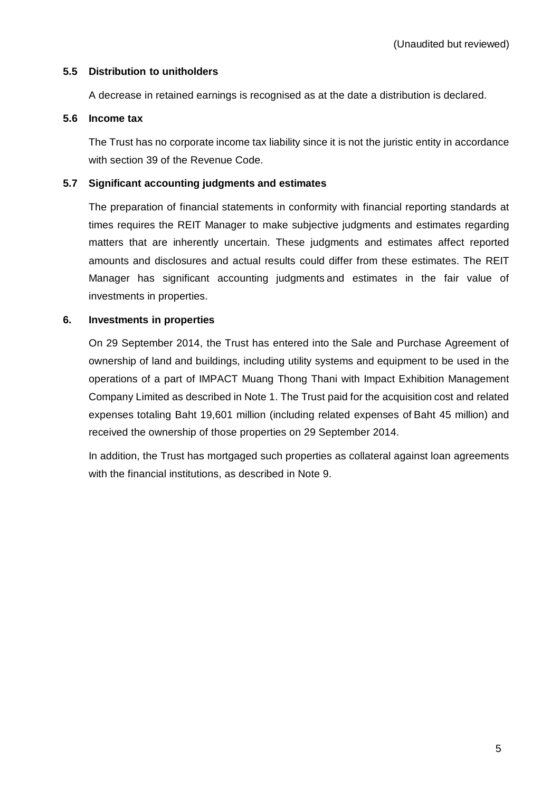# **5.5 Distribution to unitholders**

A decrease in retained earnings is recognised as at the date a distribution is declared.

# **5.6 Income tax**

 The Trust has no corporate income tax liability since it is not the juristic entity in accordance with section 39 of the Revenue Code.

# **5.7 Significant accounting judgments and estimates**

 The preparation of financial statements in conformity with financial reporting standards at times requires the REIT Manager to make subjective judgments and estimates regarding matters that are inherently uncertain. These judgments and estimates affect reported amounts and disclosures and actual results could differ from these estimates. The REIT Manager has significant accounting judgments and estimates in the fair value of investments in properties.

# **6. Investments in properties**

 On 29 September 2014, the Trust has entered into the Sale and Purchase Agreement of ownership of land and buildings, including utility systems and equipment to be used in the operations of a part of IMPACT Muang Thong Thani with Impact Exhibition Management Company Limited as described in Note 1. The Trust paid for the acquisition cost and related expenses totaling Baht 19,601 million (including related expenses of Baht 45 million) and received the ownership of those properties on 29 September 2014.

 In addition, the Trust has mortgaged such properties as collateral against loan agreements with the financial institutions, as described in Note 9.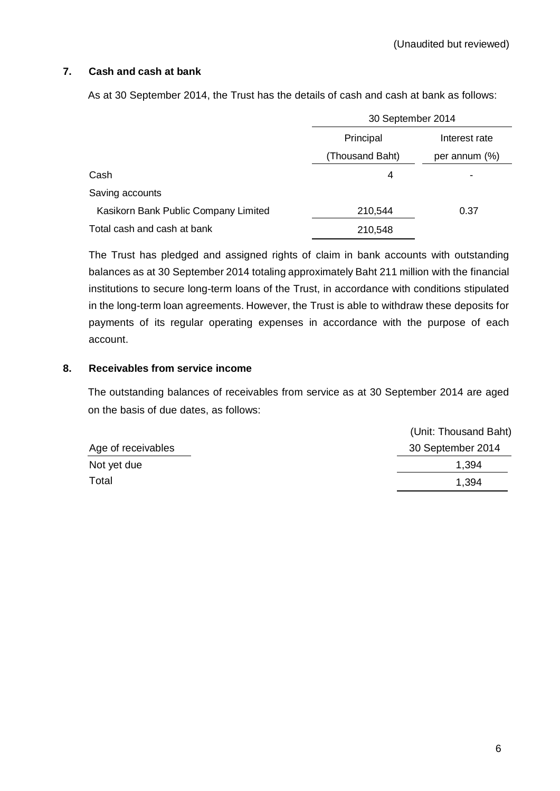# **7. Cash and cash at bank**

As at 30 September 2014, the Trust has the details of cash and cash at bank as follows:

|                                      | 30 September 2014 |                  |
|--------------------------------------|-------------------|------------------|
|                                      | Principal         | Interest rate    |
|                                      | (Thousand Baht)   | per annum $(\%)$ |
| Cash                                 | 4                 |                  |
| Saving accounts                      |                   |                  |
| Kasikorn Bank Public Company Limited | 210,544           | 0.37             |
| Total cash and cash at bank          | 210,548           |                  |

The Trust has pledged and assigned rights of claim in bank accounts with outstanding balances as at 30 September 2014 totaling approximately Baht 211 million with the financial institutions to secure long-term loans of the Trust, in accordance with conditions stipulated in the long-term loan agreements. However, the Trust is able to withdraw these deposits for payments of its regular operating expenses in accordance with the purpose of each account.

## **8. Receivables from service income**

The outstanding balances of receivables from service as at 30 September 2014 are aged on the basis of due dates, as follows:

|                    | (Unit: Thousand Baht) |
|--------------------|-----------------------|
| Age of receivables | 30 September 2014     |
| Not yet due        | 1.394                 |
| Total              | 1.394                 |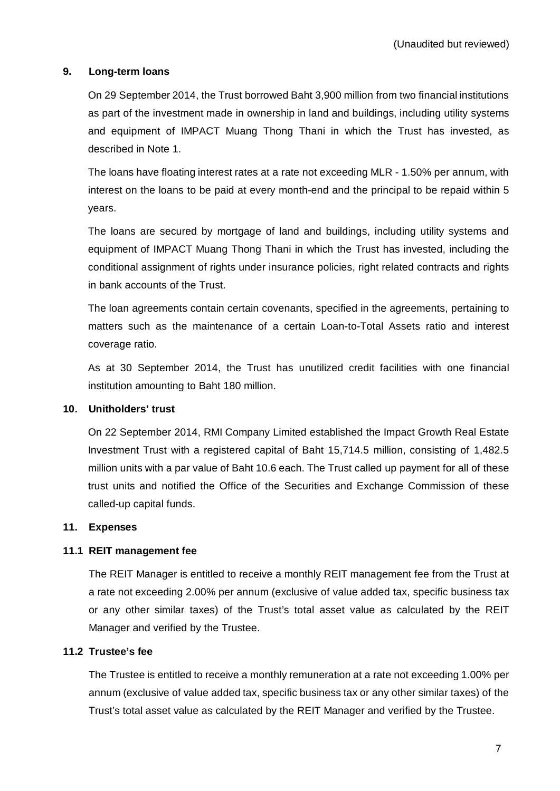## **9. Long-term loans**

On 29 September 2014, the Trust borrowed Baht 3,900 million from two financial institutions as part of the investment made in ownership in land and buildings, including utility systems and equipment of IMPACT Muang Thong Thani in which the Trust has invested, as described in Note 1.

The loans have floating interest rates at a rate not exceeding MLR - 1.50% per annum, with interest on the loans to be paid at every month-end and the principal to be repaid within 5 years.

The loans are secured by mortgage of land and buildings, including utility systems and equipment of IMPACT Muang Thong Thani in which the Trust has invested, including the conditional assignment of rights under insurance policies, right related contracts and rights in bank accounts of the Trust.

The loan agreements contain certain covenants, specified in the agreements, pertaining to matters such as the maintenance of a certain Loan-to-Total Assets ratio and interest coverage ratio.

As at 30 September 2014, the Trust has unutilized credit facilities with one financial institution amounting to Baht 180 million.

## **10. Unitholders' trust**

On 22 September 2014, RMI Company Limited established the Impact Growth Real Estate Investment Trust with a registered capital of Baht 15,714.5 million, consisting of 1,482.5 million units with a par value of Baht 10.6 each. The Trust called up payment for all of these trust units and notified the Office of the Securities and Exchange Commission of these called-up capital funds.

## **11. Expenses**

## **11.1 REIT management fee**

The REIT Manager is entitled to receive a monthly REIT management fee from the Trust at a rate not exceeding 2.00% per annum (exclusive of value added tax, specific business tax or any other similar taxes) of the Trust's total asset value as calculated by the REIT Manager and verified by the Trustee.

## **11.2 Trustee's fee**

The Trustee is entitled to receive a monthly remuneration at a rate not exceeding 1.00% per annum (exclusive of value added tax, specific business tax or any other similar taxes) of the Trust's total asset value as calculated by the REIT Manager and verified by the Trustee.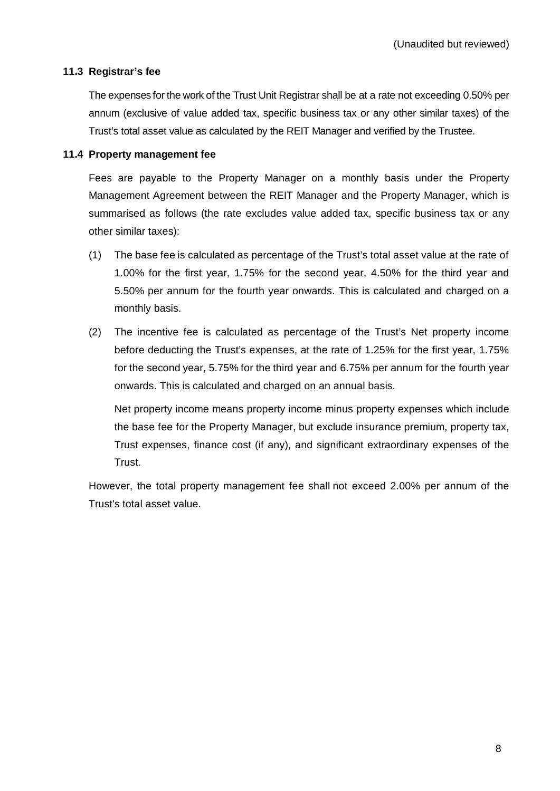## **11.3 Registrar's fee**

The expenses for the work of the Trust Unit Registrar shall be at a rate not exceeding 0.50% per annum (exclusive of value added tax, specific business tax or any other similar taxes) of the Trust's total asset value as calculated by the REIT Manager and verified by the Trustee.

### **11.4 Property management fee**

Fees are payable to the Property Manager on a monthly basis under the Property Management Agreement between the REIT Manager and the Property Manager, which is summarised as follows (the rate excludes value added tax, specific business tax or any other similar taxes):

- (1) The base fee is calculated as percentage of the Trust's total asset value at the rate of 1.00% for the first year, 1.75% for the second year, 4.50% for the third year and 5.50% per annum for the fourth year onwards. This is calculated and charged on a monthly basis.
- (2) The incentive fee is calculated as percentage of the Trust's Net property income before deducting the Trust's expenses, at the rate of 1.25% for the first year, 1.75% for the second year, 5.75% for the third year and 6.75% per annum for the fourth year onwards. This is calculated and charged on an annual basis.

Net property income means property income minus property expenses which include the base fee for the Property Manager, but exclude insurance premium, property tax, Trust expenses, finance cost (if any), and significant extraordinary expenses of the Trust.

However, the total property management fee shall not exceed 2.00% per annum of the Trust's total asset value.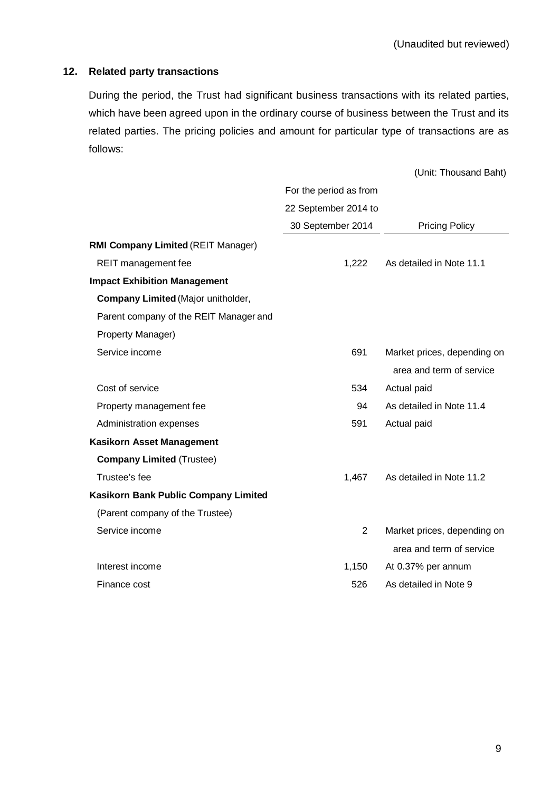# **12. Related party transactions**

During the period, the Trust had significant business transactions with its related parties, which have been agreed upon in the ordinary course of business between the Trust and its related parties. The pricing policies and amount for particular type of transactions are as follows:

|                                           |                        | (Unit: Thousand Baht)       |
|-------------------------------------------|------------------------|-----------------------------|
|                                           | For the period as from |                             |
|                                           | 22 September 2014 to   |                             |
|                                           | 30 September 2014      | <b>Pricing Policy</b>       |
| <b>RMI Company Limited (REIT Manager)</b> |                        |                             |
| REIT management fee                       | 1,222                  | As detailed in Note 11.1    |
| <b>Impact Exhibition Management</b>       |                        |                             |
| Company Limited (Major unitholder,        |                        |                             |
| Parent company of the REIT Manager and    |                        |                             |
| Property Manager)                         |                        |                             |
| Service income                            | 691                    | Market prices, depending on |
|                                           |                        | area and term of service    |
| Cost of service                           | 534                    | Actual paid                 |
| Property management fee                   | 94                     | As detailed in Note 11.4    |
| Administration expenses                   | 591                    | Actual paid                 |
| <b>Kasikorn Asset Management</b>          |                        |                             |
| <b>Company Limited (Trustee)</b>          |                        |                             |
| Trustee's fee                             | 1,467                  | As detailed in Note 11.2    |
| Kasikorn Bank Public Company Limited      |                        |                             |
| (Parent company of the Trustee)           |                        |                             |
| Service income                            | 2                      | Market prices, depending on |
|                                           |                        | area and term of service    |
| Interest income                           | 1,150                  | At 0.37% per annum          |
| Finance cost                              | 526                    | As detailed in Note 9       |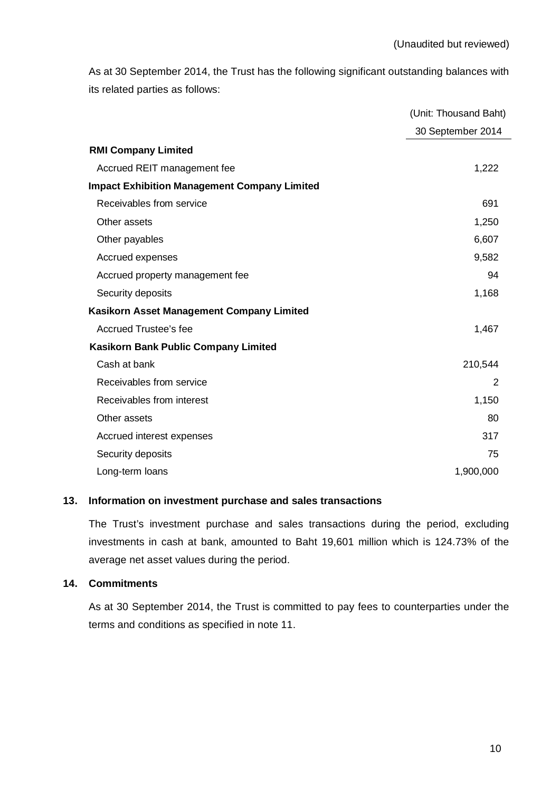As at 30 September 2014, the Trust has the following significant outstanding balances with its related parties as follows:

|                                                     | (Unit: Thousand Baht) |
|-----------------------------------------------------|-----------------------|
|                                                     | 30 September 2014     |
| <b>RMI Company Limited</b>                          |                       |
| Accrued REIT management fee                         | 1,222                 |
| <b>Impact Exhibition Management Company Limited</b> |                       |
| Receivables from service                            | 691                   |
| Other assets                                        | 1,250                 |
| Other payables                                      | 6,607                 |
| Accrued expenses                                    | 9,582                 |
| Accrued property management fee                     | 94                    |
| Security deposits                                   | 1,168                 |
| Kasikorn Asset Management Company Limited           |                       |
| <b>Accrued Trustee's fee</b>                        | 1,467                 |
| <b>Kasikorn Bank Public Company Limited</b>         |                       |
| Cash at bank                                        | 210,544               |
| Receivables from service                            | 2                     |
| Receivables from interest                           | 1,150                 |
| Other assets                                        | 80                    |
| Accrued interest expenses                           | 317                   |
| Security deposits                                   | 75                    |
| Long-term loans                                     | 1,900,000             |

# **13. Information on investment purchase and sales transactions**

The Trust's investment purchase and sales transactions during the period, excluding investments in cash at bank, amounted to Baht 19,601 million which is 124.73% of the average net asset values during the period.

# **14. Commitments**

As at 30 September 2014, the Trust is committed to pay fees to counterparties under the terms and conditions as specified in note 11.